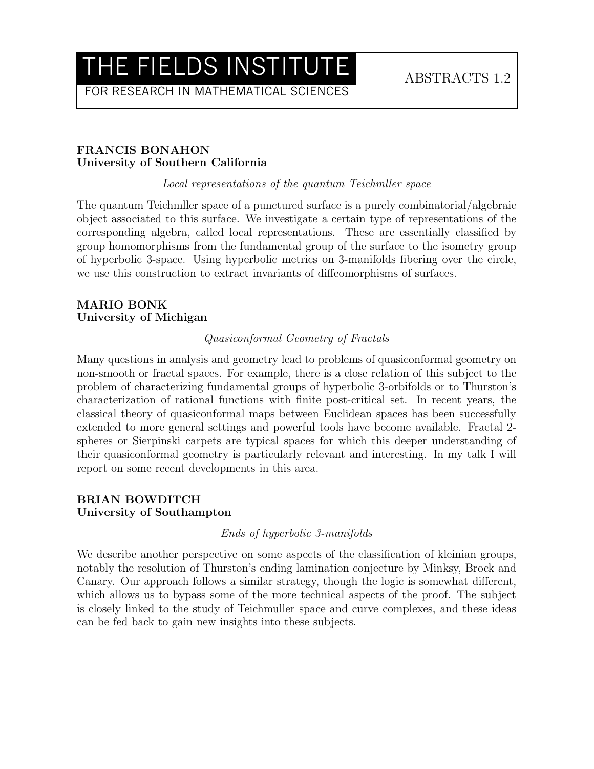FOR RESEARCH IN MATHEMATICAL SCIENCES

## FRANCIS BONAHON University of Southern California

Local representations of the quantum Teichmller space

The quantum Teichmller space of a punctured surface is a purely combinatorial/algebraic object associated to this surface. We investigate a certain type of representations of the corresponding algebra, called local representations. These are essentially classified by group homomorphisms from the fundamental group of the surface to the isometry group of hyperbolic 3-space. Using hyperbolic metrics on 3-manifolds fibering over the circle, we use this construction to extract invariants of diffeomorphisms of surfaces.

## MARIO BONK University of Michigan

## Quasiconformal Geometry of Fractals

Many questions in analysis and geometry lead to problems of quasiconformal geometry on non-smooth or fractal spaces. For example, there is a close relation of this subject to the problem of characterizing fundamental groups of hyperbolic 3-orbifolds or to Thurston's characterization of rational functions with finite post-critical set. In recent years, the classical theory of quasiconformal maps between Euclidean spaces has been successfully extended to more general settings and powerful tools have become available. Fractal 2 spheres or Sierpinski carpets are typical spaces for which this deeper understanding of their quasiconformal geometry is particularly relevant and interesting. In my talk I will report on some recent developments in this area.

## BRIAN BOWDITCH University of Southampton

## Ends of hyperbolic 3-manifolds

We describe another perspective on some aspects of the classification of kleinian groups, notably the resolution of Thurston's ending lamination conjecture by Minksy, Brock and Canary. Our approach follows a similar strategy, though the logic is somewhat different, which allows us to bypass some of the more technical aspects of the proof. The subject is closely linked to the study of Teichmuller space and curve complexes, and these ideas can be fed back to gain new insights into these subjects.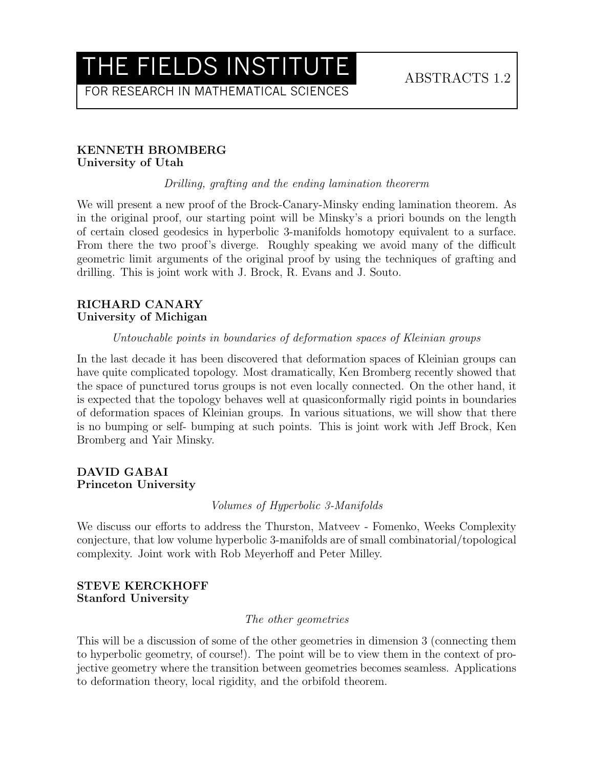FOR RESEARCH IN MATHEMATICAL SCIENCES

#### KENNETH BROMBERG University of Utah

Drilling, grafting and the ending lamination theorerm

We will present a new proof of the Brock-Canary-Minsky ending lamination theorem. As in the original proof, our starting point will be Minsky's a priori bounds on the length of certain closed geodesics in hyperbolic 3-manifolds homotopy equivalent to a surface. From there the two proof's diverge. Roughly speaking we avoid many of the difficult geometric limit arguments of the original proof by using the techniques of grafting and drilling. This is joint work with J. Brock, R. Evans and J. Souto.

#### RICHARD CANARY University of Michigan

#### Untouchable points in boundaries of deformation spaces of Kleinian groups

In the last decade it has been discovered that deformation spaces of Kleinian groups can have quite complicated topology. Most dramatically, Ken Bromberg recently showed that the space of punctured torus groups is not even locally connected. On the other hand, it is expected that the topology behaves well at quasiconformally rigid points in boundaries of deformation spaces of Kleinian groups. In various situations, we will show that there is no bumping or self- bumping at such points. This is joint work with Jeff Brock, Ken Bromberg and Yair Minsky.

#### DAVID GABAI Princeton University

Volumes of Hyperbolic 3-Manifolds

We discuss our efforts to address the Thurston, Matveev - Fomenko, Weeks Complexity conjecture, that low volume hyperbolic 3-manifolds are of small combinatorial/topological complexity. Joint work with Rob Meyerhoff and Peter Milley.

#### STEVE KERCKHOFF Stanford University

#### The other geometries

This will be a discussion of some of the other geometries in dimension 3 (connecting them to hyperbolic geometry, of course!). The point will be to view them in the context of projective geometry where the transition between geometries becomes seamless. Applications to deformation theory, local rigidity, and the orbifold theorem.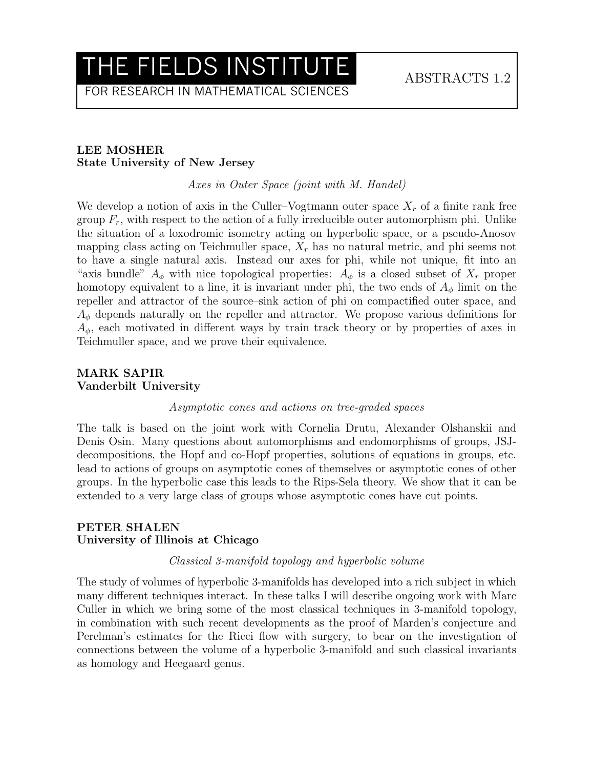FOR RESEARCH IN MATHEMATICAL SCIENCES

## LEE MOSHER State University of New Jersey

Axes in Outer Space (joint with M. Handel)

We develop a notion of axis in the Culler–Vogtmann outer space  $X_r$  of a finite rank free group  $F_r$ , with respect to the action of a fully irreducible outer automorphism phi. Unlike the situation of a loxodromic isometry acting on hyperbolic space, or a pseudo-Anosov mapping class acting on Teichmuller space,  $X_r$  has no natural metric, and phi seems not to have a single natural axis. Instead our axes for phi, while not unique, fit into an "axis bundle"  $A_{\phi}$  with nice topological properties:  $A_{\phi}$  is a closed subset of  $X_r$  proper homotopy equivalent to a line, it is invariant under phi, the two ends of  $A_{\phi}$  limit on the repeller and attractor of the source–sink action of phi on compactified outer space, and  $A_{\phi}$  depends naturally on the repeller and attractor. We propose various definitions for  $A_{\phi}$ , each motivated in different ways by train track theory or by properties of axes in Teichmuller space, and we prove their equivalence.

#### MARK SAPIR Vanderbilt University

#### Asymptotic cones and actions on tree-graded spaces

The talk is based on the joint work with Cornelia Drutu, Alexander Olshanskii and Denis Osin. Many questions about automorphisms and endomorphisms of groups, JSJdecompositions, the Hopf and co-Hopf properties, solutions of equations in groups, etc. lead to actions of groups on asymptotic cones of themselves or asymptotic cones of other groups. In the hyperbolic case this leads to the Rips-Sela theory. We show that it can be extended to a very large class of groups whose asymptotic cones have cut points.

#### PETER SHALEN University of Illinois at Chicago

#### Classical 3-manifold topology and hyperbolic volume

The study of volumes of hyperbolic 3-manifolds has developed into a rich subject in which many different techniques interact. In these talks I will describe ongoing work with Marc Culler in which we bring some of the most classical techniques in 3-manifold topology, in combination with such recent developments as the proof of Marden's conjecture and Perelman's estimates for the Ricci flow with surgery, to bear on the investigation of connections between the volume of a hyperbolic 3-manifold and such classical invariants as homology and Heegaard genus.